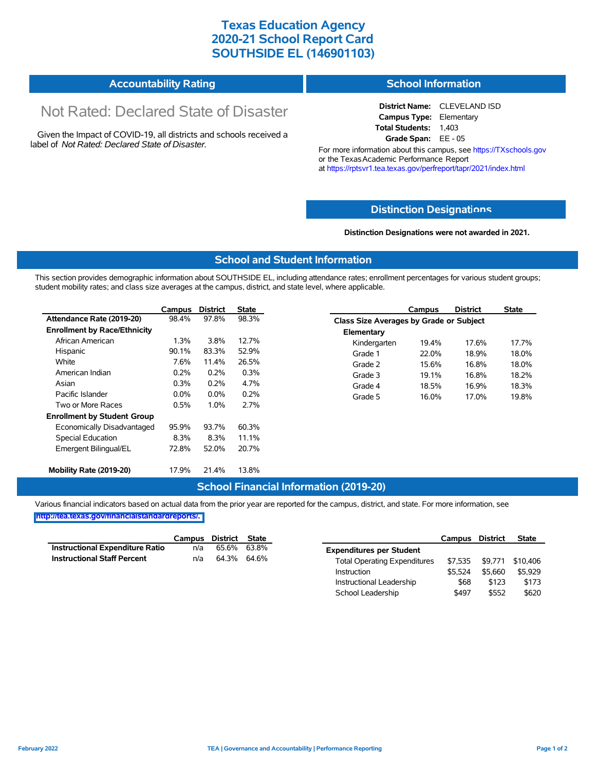## **Texas Education Agency 2020-21 School Report Card SOUTHSIDE EL (146901103)**

#### **Accountability Rating School Information**

# Not Rated: Declared State of Disaster

Given the Impact of COVID-19, all districts and schools received a label of *Not Rated: Declared State of Disaster.*

**District Name:** CLEVELAND ISD **Campus Type:** Elementary **Total Students:** 1,403 **Grade Span:** EE - 05

For more information about this campus, see https://TXschools.gov or the Texas Academic Performance Report at https://rptsvr1.tea.texas.gov/perfreport/tapr/2021/index.html

#### **Distinction Designat[ions](https://TXschools.gov)**

**Distinction Designations were not awarded in 2021.**

School Leadership  $$497$  \$552 \$620

#### **School and Student Information**

This section provides demographic information about SOUTHSIDE EL, including attendance rates; enrollment percentages for various student groups; student mobility rates; and class size averages at the campus, district, and state level, where applicable.

|                                     | Campus  | <b>District</b> | <b>State</b> |              | Campus                                  | <b>District</b> | <b>State</b> |  |  |  |
|-------------------------------------|---------|-----------------|--------------|--------------|-----------------------------------------|-----------------|--------------|--|--|--|
| Attendance Rate (2019-20)           | 98.4%   | 97.8%           | 98.3%        |              | Class Size Averages by Grade or Subject |                 |              |  |  |  |
| <b>Enrollment by Race/Ethnicity</b> |         |                 |              | Elementary   |                                         |                 |              |  |  |  |
| African American                    | 1.3%    | 3.8%            | 12.7%        | Kindergarten | 19.4%                                   | 17.6%           | 17.7%        |  |  |  |
| Hispanic                            | 90.1%   | 83.3%           | 52.9%        | Grade 1      | 22.0%                                   | 18.9%           | 18.0%        |  |  |  |
| White                               | 7.6%    | 11.4%           | 26.5%        | Grade 2      | 15.6%                                   | 16.8%           | 18.0%        |  |  |  |
| American Indian                     | 0.2%    | 0.2%            | 0.3%         | Grade 3      | 19.1%                                   | 16.8%           | 18.2%        |  |  |  |
| Asian                               | 0.3%    | 0.2%            | 4.7%         | Grade 4      | 18.5%                                   | 16.9%           | 18.3%        |  |  |  |
| Pacific Islander                    | $0.0\%$ | $0.0\%$         | 0.2%         | Grade 5      | 16.0%                                   | 17.0%           | 19.8%        |  |  |  |
| Two or More Races                   | 0.5%    | 1.0%            | 2.7%         |              |                                         |                 |              |  |  |  |
| <b>Enrollment by Student Group</b>  |         |                 |              |              |                                         |                 |              |  |  |  |
| Economically Disadvantaged          | 95.9%   | 93.7%           | 60.3%        |              |                                         |                 |              |  |  |  |
| Special Education                   | 8.3%    | 8.3%            | 11.1%        |              |                                         |                 |              |  |  |  |
| Emergent Bilingual/EL               | 72.8%   | 52.0%           | 20.7%        |              |                                         |                 |              |  |  |  |
|                                     |         |                 |              |              |                                         |                 |              |  |  |  |
| Mobility Rate (2019-20)             | 17.9%   | 21.4%           | 13.8%        |              |                                         |                 |              |  |  |  |

#### **School Financial Information (2019-20)**

Various financial indicators based on actual data from the prior year are reported for the campus, district, and state. For more information, see

**[http://tea.texas.gov/financialstandardreports/.](http://tea.texas.gov/financialstandardreports/)**

|                                    | Campus | District State |       |                                     | Campus  | <b>District</b> | <b>State</b> |
|------------------------------------|--------|----------------|-------|-------------------------------------|---------|-----------------|--------------|
| Instructional Expenditure Ratio    | n/a    | 65.6%          | 63.8% | <b>Expenditures per Student</b>     |         |                 |              |
| <b>Instructional Staff Percent</b> | n/a    | 64.3% 64.6%    |       | <b>Total Operating Expenditures</b> |         | \$7,535 \$9,771 | \$10.406     |
|                                    |        |                |       | Instruction                         | \$5.524 | \$5.660         | \$5.929      |
|                                    |        |                |       | Instructional Leadership            | \$68    | \$123           | \$173        |